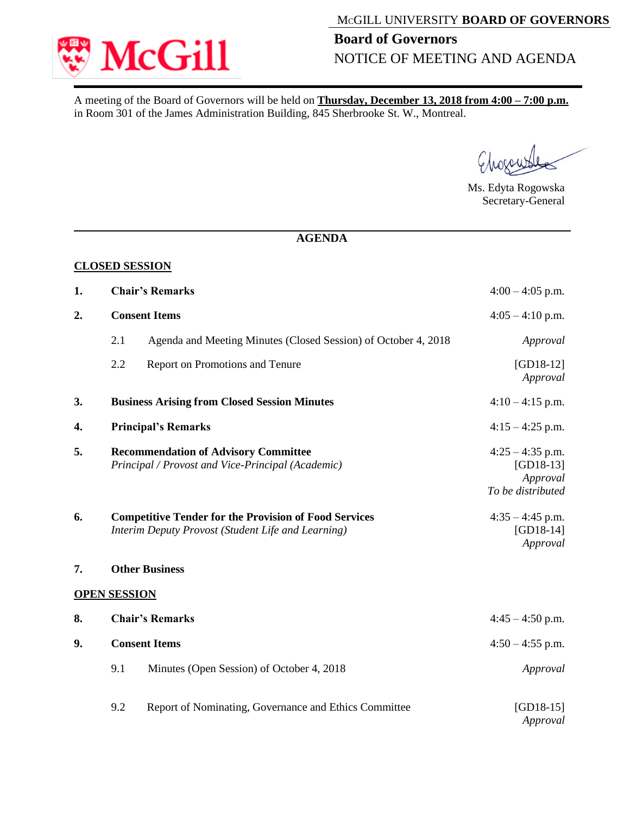

## MCGILL UNIVERSITY **BOARD OF GOVERNORS**

## **Board of Governors**  NOTICE OF MEETING AND AGENDA

A meeting of the Board of Governors will be held on **Thursday, December 13, 2018 from 4:00 – 7:00 p.m.** in Room 301 of the James Administration Building, 845 Sherbrooke St. W., Montreal.

rall

Ms. Edyta Rogowska Secretary-General

## **AGENDA**

|    |                                                                                                                    | <b>CLOSED SESSION</b>                                                                            |                                                                    |  |
|----|--------------------------------------------------------------------------------------------------------------------|--------------------------------------------------------------------------------------------------|--------------------------------------------------------------------|--|
| 1. | <b>Chair's Remarks</b>                                                                                             | $4:00 - 4:05$ p.m.                                                                               |                                                                    |  |
| 2. | <b>Consent Items</b>                                                                                               |                                                                                                  | $4:05 - 4:10$ p.m.                                                 |  |
|    | 2.1                                                                                                                | Agenda and Meeting Minutes (Closed Session) of October 4, 2018                                   | Approval                                                           |  |
|    | 2.2                                                                                                                | Report on Promotions and Tenure                                                                  | $[GD18-12]$<br>Approval                                            |  |
| 3. | <b>Business Arising from Closed Session Minutes</b>                                                                |                                                                                                  | $4:10-4:15$ p.m.                                                   |  |
| 4. | <b>Principal's Remarks</b>                                                                                         |                                                                                                  | $4:15 - 4:25$ p.m.                                                 |  |
| 5. |                                                                                                                    | <b>Recommendation of Advisory Committee</b><br>Principal / Provost and Vice-Principal (Academic) | $4:25 - 4:35$ p.m.<br>$[GD18-13]$<br>Approval<br>To be distributed |  |
| 6. | <b>Competitive Tender for the Provision of Food Services</b><br>Interim Deputy Provost (Student Life and Learning) |                                                                                                  | $4:35 - 4:45$ p.m.<br>$[GD18-14]$<br>Approval                      |  |
| 7. | <b>Other Business</b>                                                                                              |                                                                                                  |                                                                    |  |
|    | <b>OPEN SESSION</b>                                                                                                |                                                                                                  |                                                                    |  |
| 8. | <b>Chair's Remarks</b>                                                                                             |                                                                                                  | $4:45 - 4:50$ p.m.                                                 |  |
| 9. | <b>Consent Items</b>                                                                                               | $4:50 - 4:55$ p.m.                                                                               |                                                                    |  |
|    | 9.1                                                                                                                | Minutes (Open Session) of October 4, 2018                                                        | Approval                                                           |  |
|    | 9.2                                                                                                                | Report of Nominating, Governance and Ethics Committee                                            | $[GD18-15]$<br>Approval                                            |  |